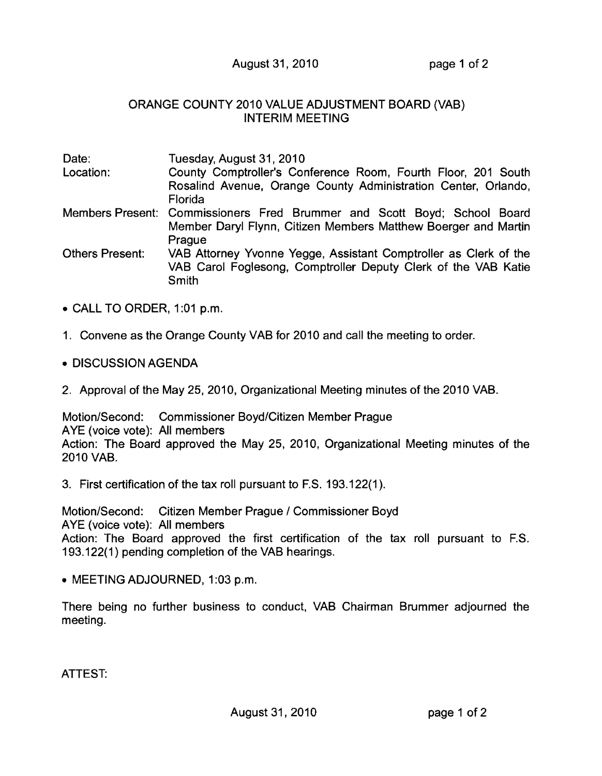## August 31, 2010 page 1 of 2

## ORANGE COUNTY 2010 VALUE ADJUSTMENT BOARD (VAB) INTERIM MEETING

| Date:           | Tuesday, August 31, 2010                                                                                                                    |
|-----------------|---------------------------------------------------------------------------------------------------------------------------------------------|
| Location:       | County Comptroller's Conference Room, Fourth Floor, 201 South                                                                               |
|                 | Rosalind Avenue, Orange County Administration Center, Orlando,<br>Florida                                                                   |
|                 | Members Present: Commissioners Fred Brummer and Scott Boyd; School Board<br>Member Daryl Flynn, Citizen Members Matthew Boerger and Martin  |
|                 | Prague                                                                                                                                      |
| Others Present: | VAB Attorney Yvonne Yegge, Assistant Comptroller as Clerk of the<br>VAB Carol Foglesong, Comptroller Deputy Clerk of the VAB Katie<br>Smith |

- CALL TO ORDER, 1:01 p.m.
- 1. Convene as the Orange County VAB for 2010 and call the meeting to order.
- DISCUSSION AGENDA
- 2. Approval of the May 25, 2010, Organizational Meeting minutes of the 2010 VAB.

Motion/Second: Commissioner Boyd/Citizen Member Prague AYE (voice vote): All members Action: The Board approved the May 25, 2010, Organizational Meeting minutes of the 2010 VAB.

3. First certification of the tax roll pursuant to F.S. 193.122(1).

Motion/Second: Citizen Member Prague / Commissioner Boyd AYE (voice vote): All members Action: The Board approved the first certification of the tax roll pursuant to F.S. 193.122(1) pending completion of the VAB hearings.

• MEETING ADJOURNED, 1 :03 p.m.

There being no further business to conduct, VAB Chairman Brummer adjourned the meeting.

ATTEST: